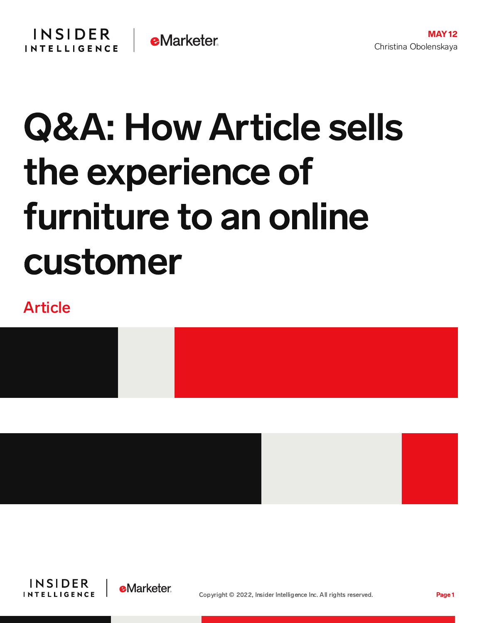# Q&A: How Article sells the experience of furniture to an online customer

# Article





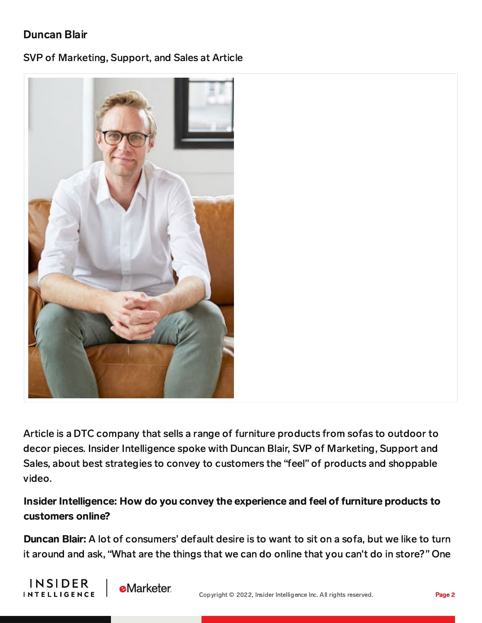## Duncan Blair

#### SVP of Marketing, Support, and Sales at Article



Article is a DTC company that sells a range of furniture products from sofas to outdoor to decor pieces. Insider Intelligence spoke with Duncan Blair, SVP of Marketing, Support and Sales, about best strategies to convey to customers the "feel" of products and shoppable video.

### Insider Intelligence: How do you convey the experience and feel of furniture products to customers online?

Duncan Blair: A lot of consumers' default desire is to want to sit on a sofa, but we like to turn it around and ask, "What are the things that we can do online that you can't do in store?" One



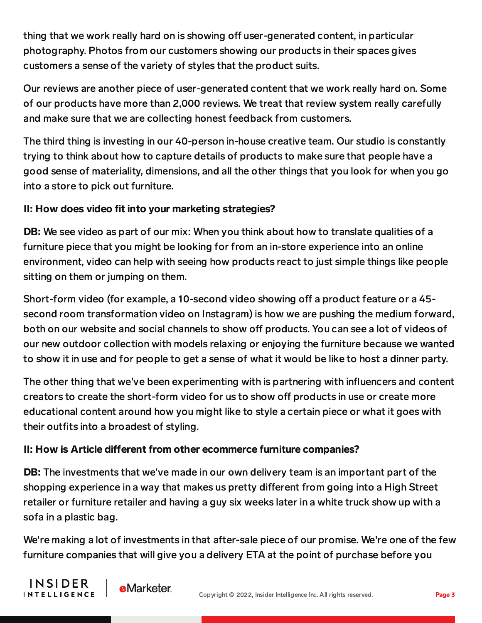thing that we work really hard on is showing off user-generated content, in particular photography. Photos from our customers showing our products in their spaces gives customers a sense of the variety of styles that the product suits.

Our reviews are another piece of user-generated content that we work really hard on. Some of our products have more than 2,000 reviews. We treat that review system really carefully and make sure that we are collecting honest feedback from customers.

The third thing is investing in our 40-person in-house creative team. Our studio is constantly trying to think about how to capture details of products to make sure that people have a good sense of materiality, dimensions, and all the other things that you look for when you go into a store to pick out furniture.

#### II: How does video fit into your marketing strategies?

DB: We see video as part of our mix: When you think about how to translate qualities of a furniture piece that you might be looking for from an in-store experience into an online environment, video can help with seeing how products react to just simple things like people sitting on them or jumping on them.

Short-form video (for example, a 10-second video showing off a product feature or a 45second room transformation video on Instagram) is how we are pushing the medium forward, both on our website and social channels to show off products. You can see a lot of videos of our new outdoor collection with models relaxing or enjoying the furniture because we wanted to show it in use and for people to get a sense of what it would be like to host a dinner party.

The other thing that we've been experimenting with is partnering with influencers and content creators to create the short-form video for us to show off products in use or create more educational content around how you might like to style a certain piece or what it goes with their outfits into a broadest of styling.

#### II: How is Article different from other ecommerce furniture companies?

DB: The investments that we've made in our own delivery team is an important part of the shopping experience in a way that makes us pretty different from going into a High Street retailer or furniture retailer and having a guy six weeks later in a white truck show up with a sofa in a plastic bag.

We're making a lot of investments in that after-sale piece of our promise. We're one of the few furniture companies that will give you a delivery ETA at the point of purchase before you